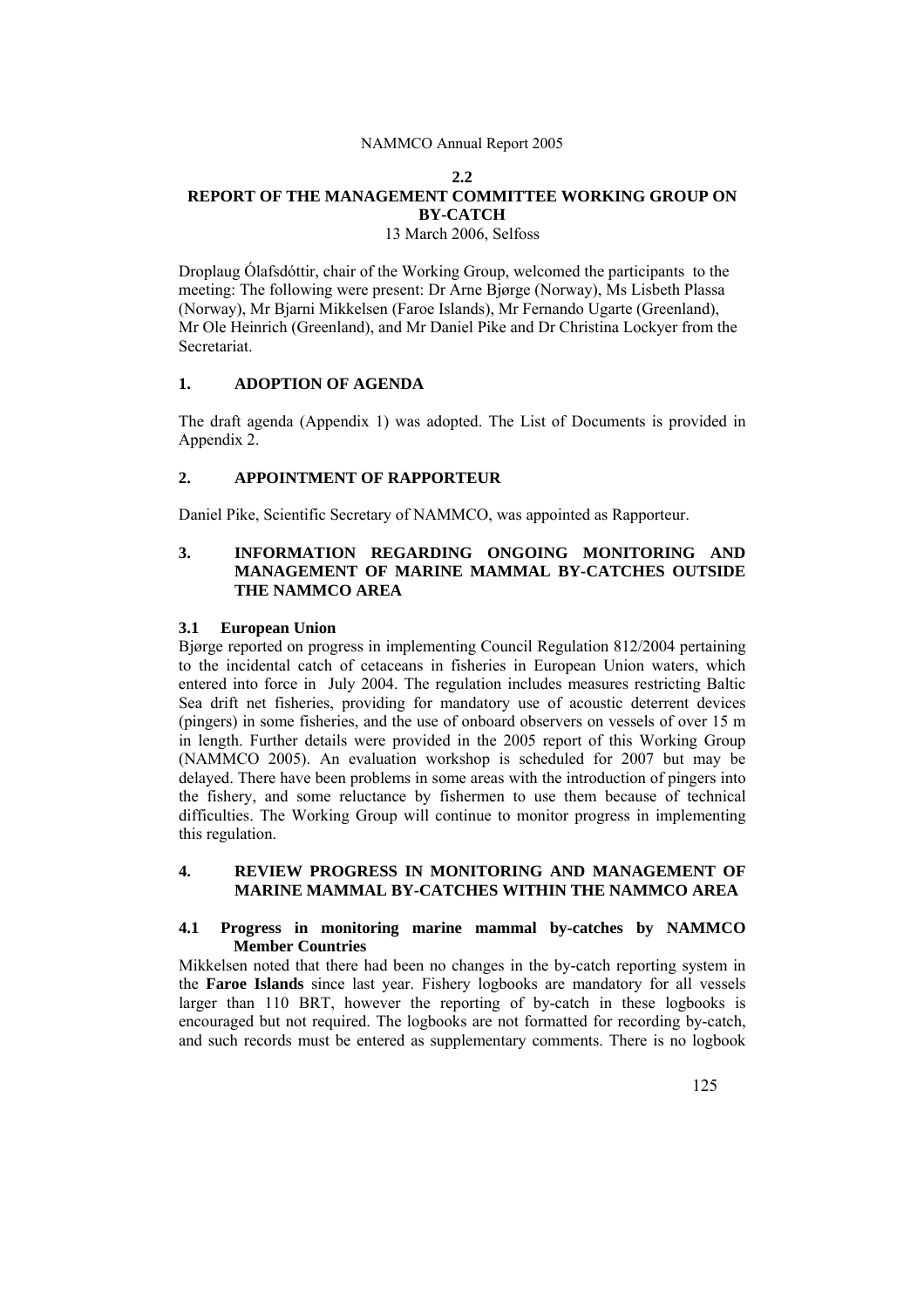# **2.2 REPORT OF THE MANAGEMENT COMMITTEE WORKING GROUP ON BY-CATCH**

13 March 2006, Selfoss

Droplaug Ólafsdóttir, chair of the Working Group, welcomed the participants to the meeting: The following were present: Dr Arne Bjørge (Norway), Ms Lisbeth Plassa (Norway), Mr Bjarni Mikkelsen (Faroe Islands), Mr Fernando Ugarte (Greenland), Mr Ole Heinrich (Greenland), and Mr Daniel Pike and Dr Christina Lockyer from the Secretariat.

### **1. ADOPTION OF AGENDA**

The draft agenda (Appendix 1) was adopted. The List of Documents is provided in Appendix 2.

### **2. APPOINTMENT OF RAPPORTEUR**

Daniel Pike, Scientific Secretary of NAMMCO, was appointed as Rapporteur.

# **3. INFORMATION REGARDING ONGOING MONITORING AND MANAGEMENT OF MARINE MAMMAL BY-CATCHES OUTSIDE THE NAMMCO AREA**

#### **3.1 European Union**

Bjørge reported on progress in implementing Council Regulation 812/2004 pertaining to the incidental catch of cetaceans in fisheries in European Union waters, which entered into force in July 2004. The regulation includes measures restricting Baltic Sea drift net fisheries, providing for mandatory use of acoustic deterrent devices (pingers) in some fisheries, and the use of onboard observers on vessels of over 15 m in length. Further details were provided in the 2005 report of this Working Group (NAMMCO 2005). An evaluation workshop is scheduled for 2007 but may be delayed. There have been problems in some areas with the introduction of pingers into the fishery, and some reluctance by fishermen to use them because of technical difficulties. The Working Group will continue to monitor progress in implementing this regulation.

#### **4. REVIEW PROGRESS IN MONITORING AND MANAGEMENT OF MARINE MAMMAL BY-CATCHES WITHIN THE NAMMCO AREA**

#### **4.1 Progress in monitoring marine mammal by-catches by NAMMCO Member Countries**

Mikkelsen noted that there had been no changes in the by-catch reporting system in the **Faroe Islands** since last year. Fishery logbooks are mandatory for all vessels larger than 110 BRT, however the reporting of by-catch in these logbooks is encouraged but not required. The logbooks are not formatted for recording by-catch, and such records must be entered as supplementary comments. There is no logbook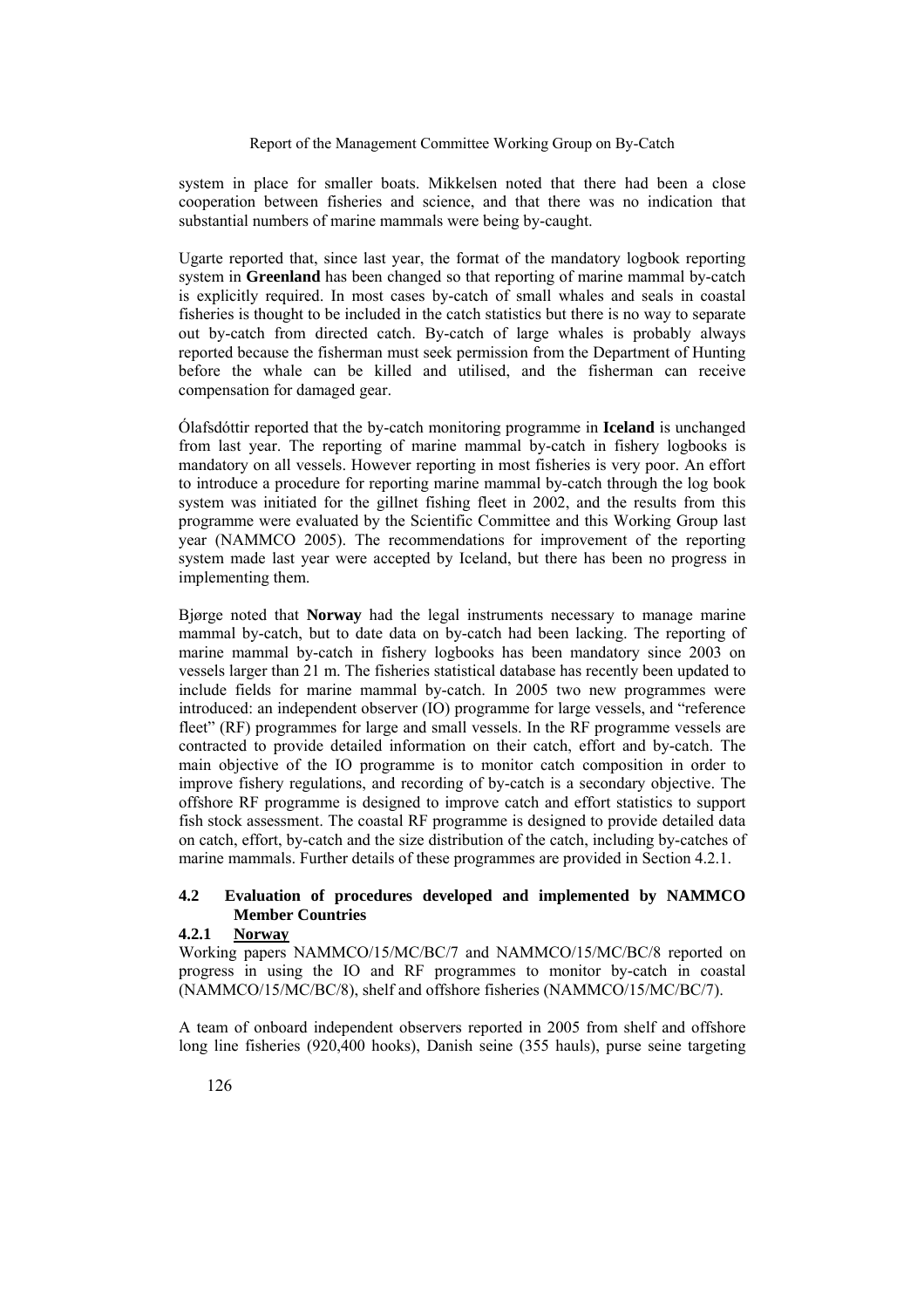system in place for smaller boats. Mikkelsen noted that there had been a close cooperation between fisheries and science, and that there was no indication that substantial numbers of marine mammals were being by-caught.

Ugarte reported that, since last year, the format of the mandatory logbook reporting system in **Greenland** has been changed so that reporting of marine mammal by-catch is explicitly required. In most cases by-catch of small whales and seals in coastal fisheries is thought to be included in the catch statistics but there is no way to separate out by-catch from directed catch. By-catch of large whales is probably always reported because the fisherman must seek permission from the Department of Hunting before the whale can be killed and utilised, and the fisherman can receive compensation for damaged gear.

Ólafsdóttir reported that the by-catch monitoring programme in **Iceland** is unchanged from last year. The reporting of marine mammal by-catch in fishery logbooks is mandatory on all vessels. However reporting in most fisheries is very poor. An effort to introduce a procedure for reporting marine mammal by-catch through the log book system was initiated for the gillnet fishing fleet in 2002, and the results from this programme were evaluated by the Scientific Committee and this Working Group last year (NAMMCO 2005). The recommendations for improvement of the reporting system made last year were accepted by Iceland, but there has been no progress in implementing them.

Bjørge noted that **Norway** had the legal instruments necessary to manage marine mammal by-catch, but to date data on by-catch had been lacking. The reporting of marine mammal by-catch in fishery logbooks has been mandatory since 2003 on vessels larger than 21 m. The fisheries statistical database has recently been updated to include fields for marine mammal by-catch. In 2005 two new programmes were introduced: an independent observer (IO) programme for large vessels, and "reference fleet" (RF) programmes for large and small vessels. In the RF programme vessels are contracted to provide detailed information on their catch, effort and by-catch. The main objective of the IO programme is to monitor catch composition in order to improve fishery regulations, and recording of by-catch is a secondary objective. The offshore RF programme is designed to improve catch and effort statistics to support fish stock assessment. The coastal RF programme is designed to provide detailed data on catch, effort, by-catch and the size distribution of the catch, including by-catches of marine mammals. Further details of these programmes are provided in Section 4.2.1.

# **4.2 Evaluation of procedures developed and implemented by NAMMCO Member Countries**

#### **4.2.1 Norway**

Working papers NAMMCO/15/MC/BC/7 and NAMMCO/15/MC/BC/8 reported on progress in using the IO and RF programmes to monitor by-catch in coastal (NAMMCO/15/MC/BC/8), shelf and offshore fisheries (NAMMCO/15/MC/BC/7).

A team of onboard independent observers reported in 2005 from shelf and offshore long line fisheries (920,400 hooks), Danish seine (355 hauls), purse seine targeting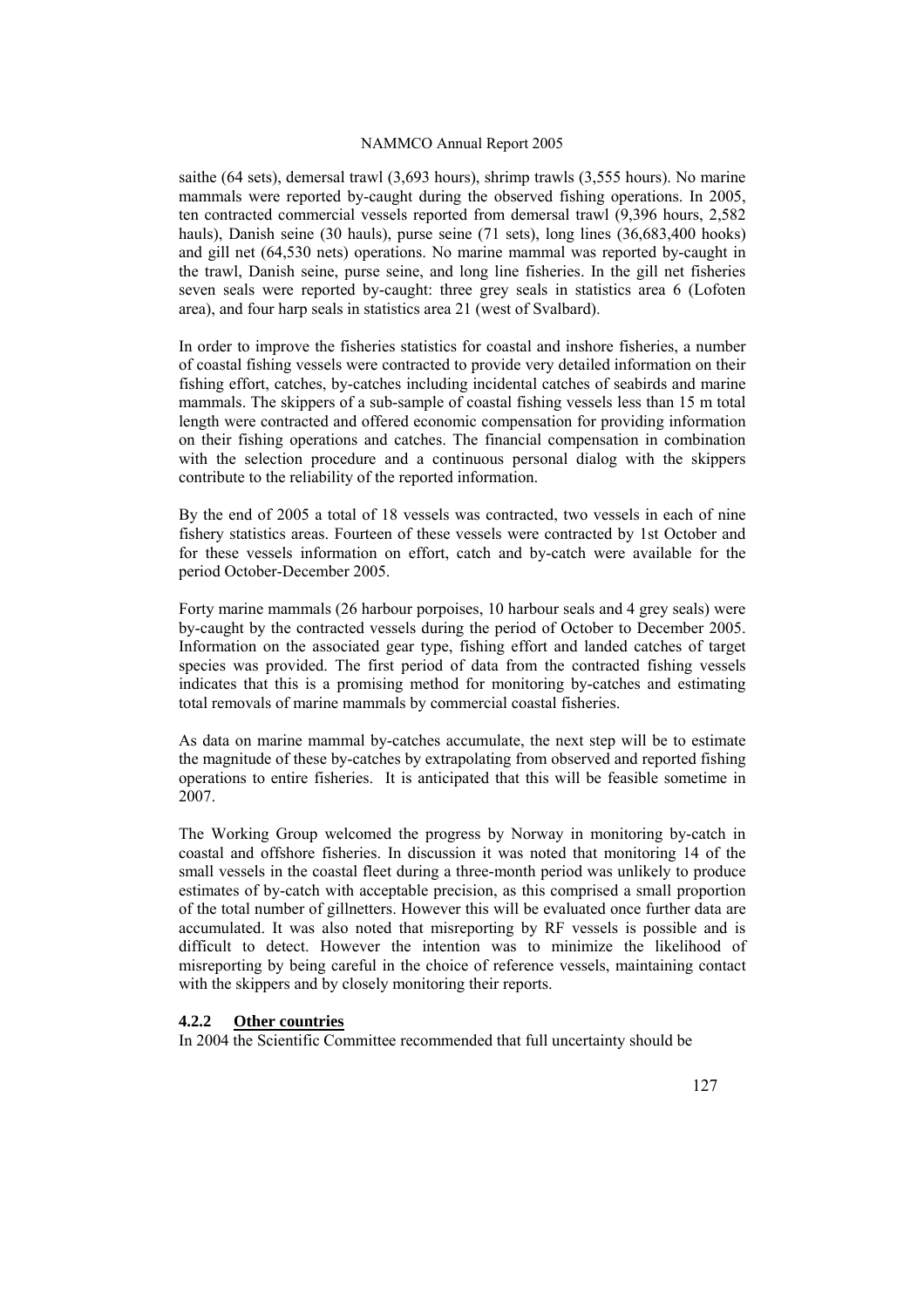saithe (64 sets), demersal trawl (3,693 hours), shrimp trawls (3,555 hours). No marine mammals were reported by-caught during the observed fishing operations. In 2005, ten contracted commercial vessels reported from demersal trawl (9,396 hours, 2,582 hauls), Danish seine (30 hauls), purse seine (71 sets), long lines (36,683,400 hooks) and gill net (64,530 nets) operations. No marine mammal was reported by-caught in the trawl, Danish seine, purse seine, and long line fisheries. In the gill net fisheries seven seals were reported by-caught: three grey seals in statistics area 6 (Lofoten area), and four harp seals in statistics area 21 (west of Svalbard).

In order to improve the fisheries statistics for coastal and inshore fisheries, a number of coastal fishing vessels were contracted to provide very detailed information on their fishing effort, catches, by-catches including incidental catches of seabirds and marine mammals. The skippers of a sub-sample of coastal fishing vessels less than 15 m total length were contracted and offered economic compensation for providing information on their fishing operations and catches. The financial compensation in combination with the selection procedure and a continuous personal dialog with the skippers contribute to the reliability of the reported information.

By the end of 2005 a total of 18 vessels was contracted, two vessels in each of nine fishery statistics areas. Fourteen of these vessels were contracted by 1st October and for these vessels information on effort, catch and by-catch were available for the period October-December 2005.

Forty marine mammals (26 harbour porpoises, 10 harbour seals and 4 grey seals) were by-caught by the contracted vessels during the period of October to December 2005. Information on the associated gear type, fishing effort and landed catches of target species was provided. The first period of data from the contracted fishing vessels indicates that this is a promising method for monitoring by-catches and estimating total removals of marine mammals by commercial coastal fisheries.

As data on marine mammal by-catches accumulate, the next step will be to estimate the magnitude of these by-catches by extrapolating from observed and reported fishing operations to entire fisheries. It is anticipated that this will be feasible sometime in 2007.

The Working Group welcomed the progress by Norway in monitoring by-catch in coastal and offshore fisheries. In discussion it was noted that monitoring 14 of the small vessels in the coastal fleet during a three-month period was unlikely to produce estimates of by-catch with acceptable precision, as this comprised a small proportion of the total number of gillnetters. However this will be evaluated once further data are accumulated. It was also noted that misreporting by RF vessels is possible and is difficult to detect. However the intention was to minimize the likelihood of misreporting by being careful in the choice of reference vessels, maintaining contact with the skippers and by closely monitoring their reports.

### **4.2.2 Other countries**

In 2004 the Scientific Committee recommended that full uncertainty should be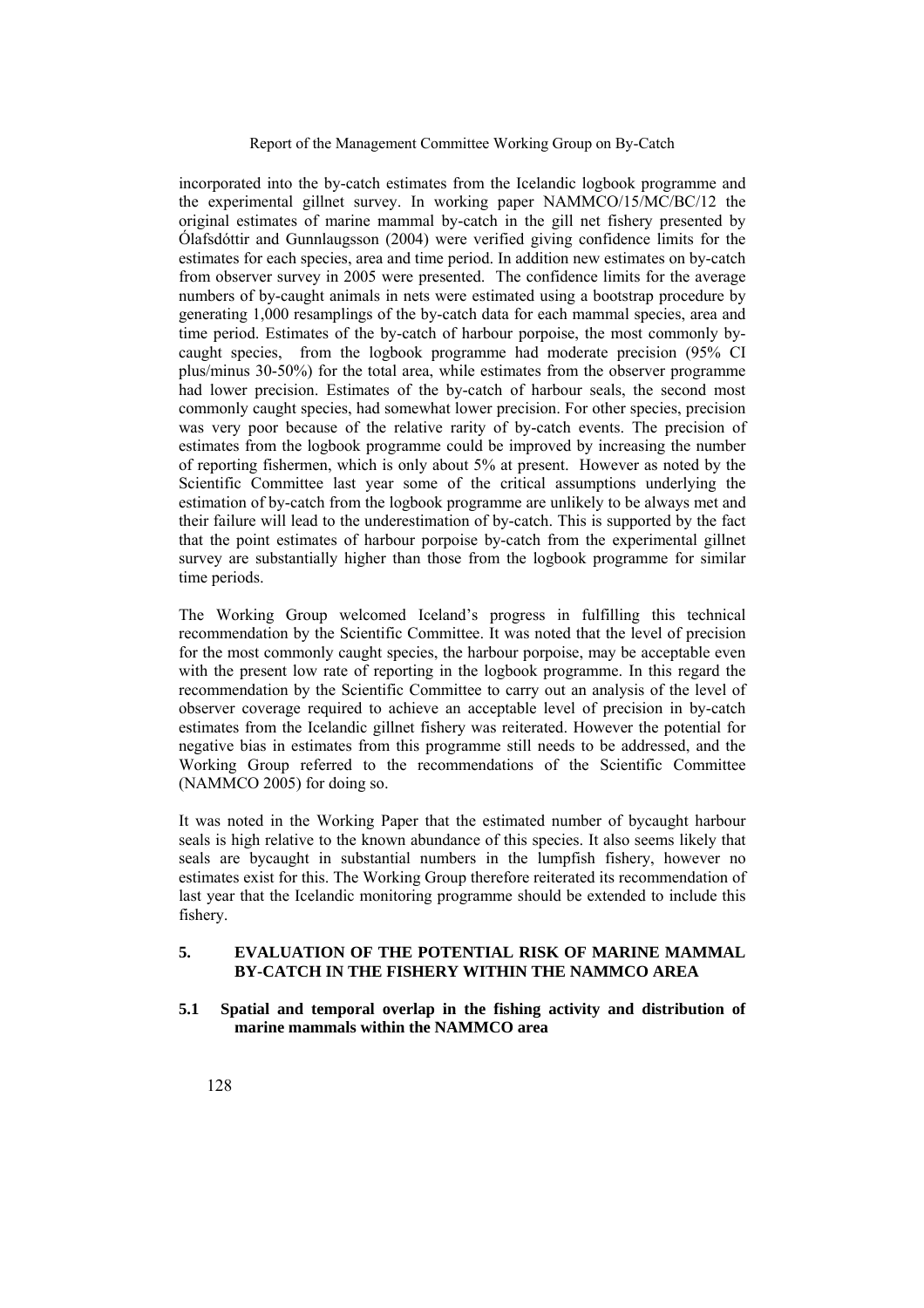incorporated into the by-catch estimates from the Icelandic logbook programme and the experimental gillnet survey. In working paper NAMMCO/15/MC/BC/12 the original estimates of marine mammal by-catch in the gill net fishery presented by Ólafsdóttir and Gunnlaugsson (2004) were verified giving confidence limits for the estimates for each species, area and time period. In addition new estimates on by-catch from observer survey in 2005 were presented. The confidence limits for the average numbers of by-caught animals in nets were estimated using a bootstrap procedure by generating 1,000 resamplings of the by-catch data for each mammal species, area and time period. Estimates of the by-catch of harbour porpoise, the most commonly bycaught species, from the logbook programme had moderate precision (95% CI plus/minus 30-50%) for the total area, while estimates from the observer programme had lower precision. Estimates of the by-catch of harbour seals, the second most commonly caught species, had somewhat lower precision. For other species, precision was very poor because of the relative rarity of by-catch events. The precision of estimates from the logbook programme could be improved by increasing the number of reporting fishermen, which is only about 5% at present. However as noted by the Scientific Committee last year some of the critical assumptions underlying the estimation of by-catch from the logbook programme are unlikely to be always met and their failure will lead to the underestimation of by-catch. This is supported by the fact that the point estimates of harbour porpoise by-catch from the experimental gillnet survey are substantially higher than those from the logbook programme for similar time periods.

The Working Group welcomed Iceland's progress in fulfilling this technical recommendation by the Scientific Committee. It was noted that the level of precision for the most commonly caught species, the harbour porpoise, may be acceptable even with the present low rate of reporting in the logbook programme. In this regard the recommendation by the Scientific Committee to carry out an analysis of the level of observer coverage required to achieve an acceptable level of precision in by-catch estimates from the Icelandic gillnet fishery was reiterated. However the potential for negative bias in estimates from this programme still needs to be addressed, and the Working Group referred to the recommendations of the Scientific Committee  $(NAMMCO 2005)$  for doing so.

It was noted in the Working Paper that the estimated number of bycaught harbour seals is high relative to the known abundance of this species. It also seems likely that seals are bycaught in substantial numbers in the lumpfish fishery, however no estimates exist for this. The Working Group therefore reiterated its recommendation of last year that the Icelandic monitoring programme should be extended to include this fishery.

# **5. EVALUATION OF THE POTENTIAL RISK OF MARINE MAMMAL BY-CATCH IN THE FISHERY WITHIN THE NAMMCO AREA**

**5.1 Spatial and temporal overlap in the fishing activity and distribution of marine mammals within the NAMMCO area**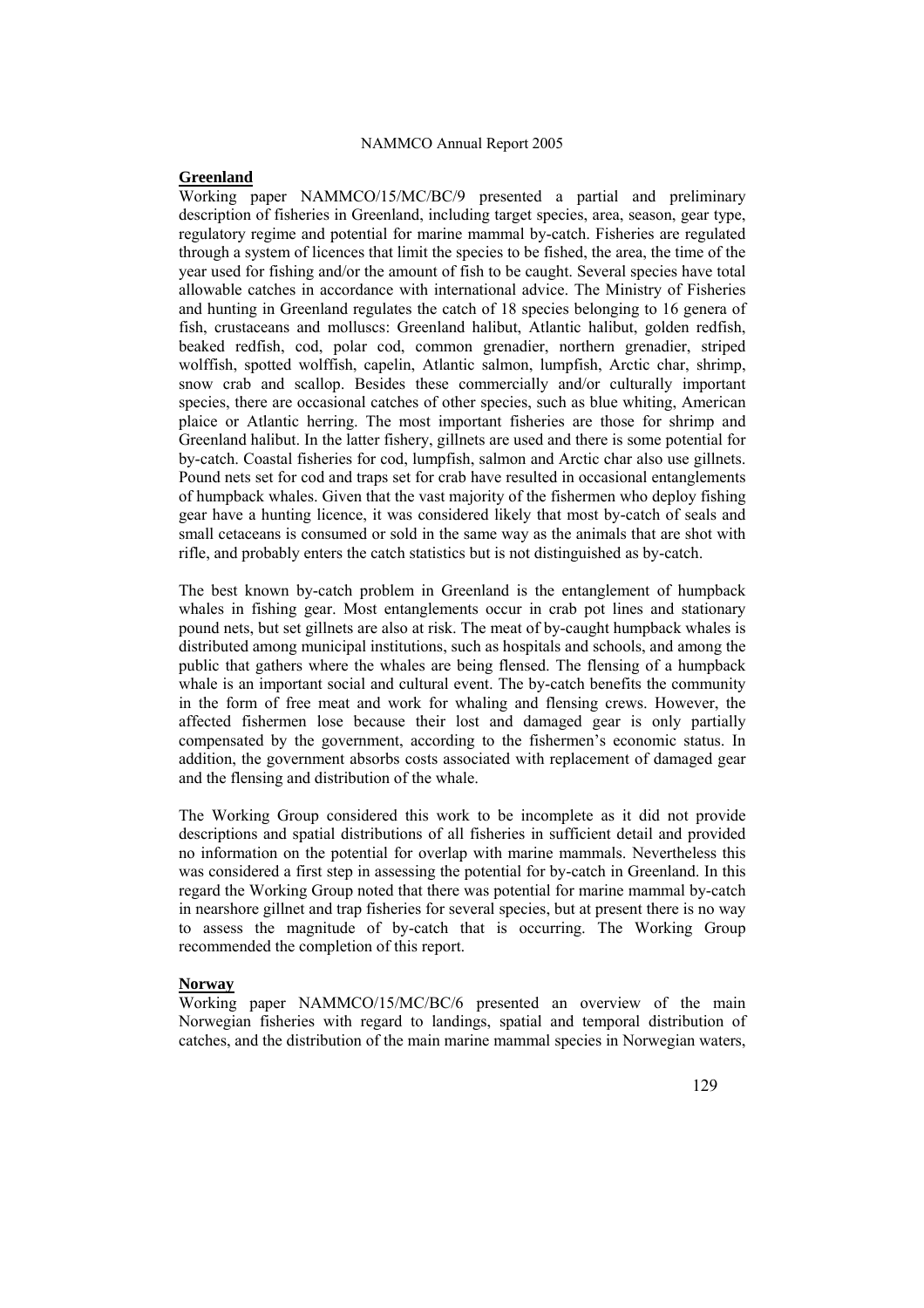### **Greenland**

Working paper NAMMCO/15/MC/BC/9 presented a partial and preliminary description of fisheries in Greenland, including target species, area, season, gear type, regulatory regime and potential for marine mammal by-catch. Fisheries are regulated through a system of licences that limit the species to be fished, the area, the time of the year used for fishing and/or the amount of fish to be caught. Several species have total allowable catches in accordance with international advice. The Ministry of Fisheries and hunting in Greenland regulates the catch of 18 species belonging to 16 genera of fish, crustaceans and molluscs: Greenland halibut, Atlantic halibut, golden redfish, beaked redfish, cod, polar cod, common grenadier, northern grenadier, striped wolffish, spotted wolffish, capelin, Atlantic salmon, lumpfish, Arctic char, shrimp, snow crab and scallop. Besides these commercially and/or culturally important species, there are occasional catches of other species, such as blue whiting, American plaice or Atlantic herring. The most important fisheries are those for shrimp and Greenland halibut. In the latter fishery, gillnets are used and there is some potential for by-catch. Coastal fisheries for cod, lumpfish, salmon and Arctic char also use gillnets. Pound nets set for cod and traps set for crab have resulted in occasional entanglements of humpback whales. Given that the vast majority of the fishermen who deploy fishing gear have a hunting licence, it was considered likely that most by-catch of seals and small cetaceans is consumed or sold in the same way as the animals that are shot with rifle, and probably enters the catch statistics but is not distinguished as by-catch.

The best known by-catch problem in Greenland is the entanglement of humpback whales in fishing gear. Most entanglements occur in crab pot lines and stationary pound nets, but set gillnets are also at risk. The meat of by-caught humpback whales is distributed among municipal institutions, such as hospitals and schools, and among the public that gathers where the whales are being flensed. The flensing of a humpback whale is an important social and cultural event. The by-catch benefits the community in the form of free meat and work for whaling and flensing crews. However, the affected fishermen lose because their lost and damaged gear is only partially compensated by the government, according to the fishermen's economic status. In addition, the government absorbs costs associated with replacement of damaged gear and the flensing and distribution of the whale.

The Working Group considered this work to be incomplete as it did not provide descriptions and spatial distributions of all fisheries in sufficient detail and provided no information on the potential for overlap with marine mammals. Nevertheless this was considered a first step in assessing the potential for by-catch in Greenland. In this regard the Working Group noted that there was potential for marine mammal by-catch in nearshore gillnet and trap fisheries for several species, but at present there is no way to assess the magnitude of by-catch that is occurring. The Working Group recommended the completion of this report.

#### **Norway**

Working paper NAMMCO/15/MC/BC/6 presented an overview of the main Norwegian fisheries with regard to landings, spatial and temporal distribution of catches, and the distribution of the main marine mammal species in Norwegian waters,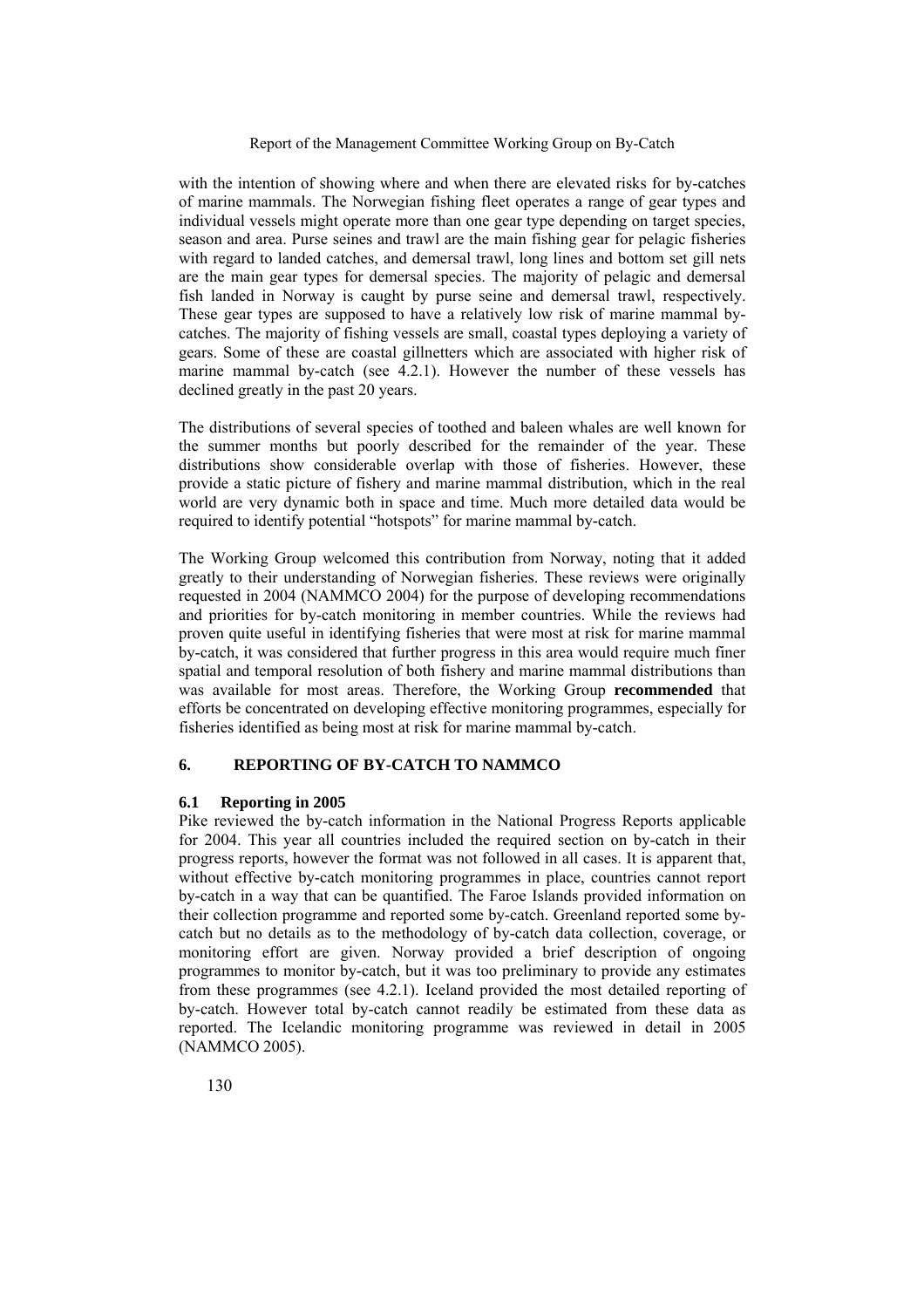with the intention of showing where and when there are elevated risks for by-catches of marine mammals. The Norwegian fishing fleet operates a range of gear types and individual vessels might operate more than one gear type depending on target species, season and area. Purse seines and trawl are the main fishing gear for pelagic fisheries with regard to landed catches, and demersal trawl, long lines and bottom set gill nets are the main gear types for demersal species. The majority of pelagic and demersal fish landed in Norway is caught by purse seine and demersal trawl, respectively. These gear types are supposed to have a relatively low risk of marine mammal bycatches. The majority of fishing vessels are small, coastal types deploying a variety of gears. Some of these are coastal gillnetters which are associated with higher risk of marine mammal by-catch (see 4.2.1). However the number of these vessels has declined greatly in the past 20 years.

The distributions of several species of toothed and baleen whales are well known for the summer months but poorly described for the remainder of the year. These distributions show considerable overlap with those of fisheries. However, these provide a static picture of fishery and marine mammal distribution, which in the real world are very dynamic both in space and time. Much more detailed data would be required to identify potential "hotspots" for marine mammal by-catch.

The Working Group welcomed this contribution from Norway, noting that it added greatly to their understanding of Norwegian fisheries. These reviews were originally requested in 2004 (NAMMCO 2004) for the purpose of developing recommendations and priorities for by-catch monitoring in member countries. While the reviews had proven quite useful in identifying fisheries that were most at risk for marine mammal by-catch, it was considered that further progress in this area would require much finer spatial and temporal resolution of both fishery and marine mammal distributions than was available for most areas. Therefore, the Working Group **recommended** that efforts be concentrated on developing effective monitoring programmes, especially for fisheries identified as being most at risk for marine mammal by-catch.

### **6. REPORTING OF BY-CATCH TO NAMMCO**

### **6.1 Reporting in 2005**

Pike reviewed the by-catch information in the National Progress Reports applicable for 2004. This year all countries included the required section on by-catch in their progress reports, however the format was not followed in all cases. It is apparent that, without effective by-catch monitoring programmes in place, countries cannot report by-catch in a way that can be quantified. The Faroe Islands provided information on their collection programme and reported some by-catch. Greenland reported some bycatch but no details as to the methodology of by-catch data collection, coverage, or monitoring effort are given. Norway provided a brief description of ongoing programmes to monitor by-catch, but it was too preliminary to provide any estimates from these programmes (see 4.2.1). Iceland provided the most detailed reporting of by-catch. However total by-catch cannot readily be estimated from these data as reported. The Icelandic monitoring programme was reviewed in detail in 2005 (NAMMCO 2005).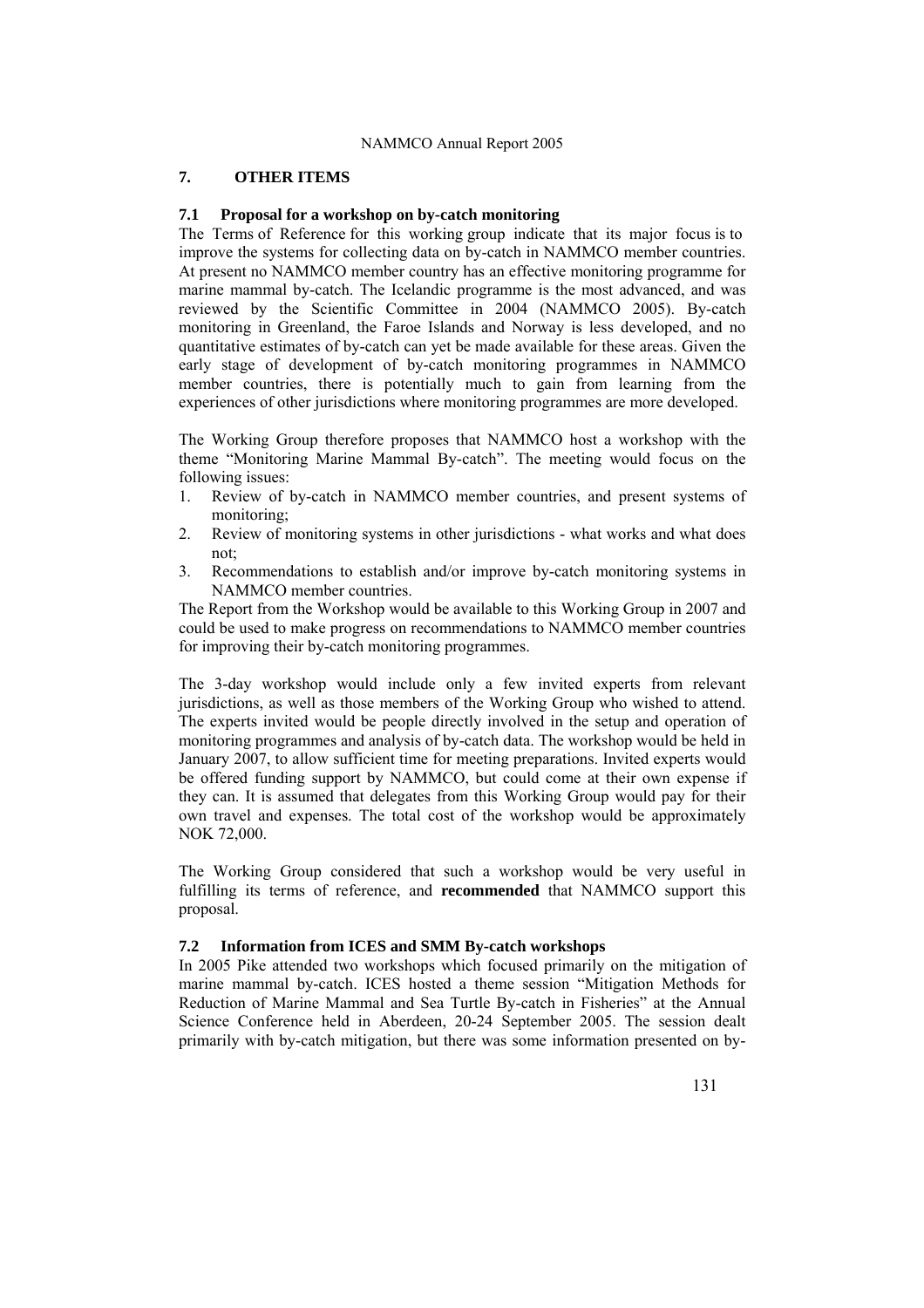### **7. OTHER ITEMS**

### **7.1 Proposal for a workshop on by-catch monitoring**

The Terms of Reference for this working group indicate that its major focus is to improve the systems for collecting data on by-catch in NAMMCO member countries. At present no NAMMCO member country has an effective monitoring programme for marine mammal by-catch. The Icelandic programme is the most advanced, and was reviewed by the Scientific Committee in 2004 (NAMMCO 2005). By-catch monitoring in Greenland, the Faroe Islands and Norway is less developed, and no quantitative estimates of by-catch can yet be made available for these areas. Given the early stage of development of by-catch monitoring programmes in NAMMCO member countries, there is potentially much to gain from learning from the experiences of other jurisdictions where monitoring programmes are more developed.

The Working Group therefore proposes that NAMMCO host a workshop with the theme "Monitoring Marine Mammal By-catch". The meeting would focus on the following issues:

- 1. Review of by-catch in NAMMCO member countries, and present systems of monitoring;
- 2. Review of monitoring systems in other jurisdictions what works and what does not;
- 3. Recommendations to establish and/or improve by-catch monitoring systems in NAMMCO member countries.

The Report from the Workshop would be available to this Working Group in 2007 and could be used to make progress on recommendations to NAMMCO member countries for improving their by-catch monitoring programmes.

The 3-day workshop would include only a few invited experts from relevant jurisdictions, as well as those members of the Working Group who wished to attend. The experts invited would be people directly involved in the setup and operation of monitoring programmes and analysis of by-catch data. The workshop would be held in January 2007, to allow sufficient time for meeting preparations. Invited experts would be offered funding support by NAMMCO, but could come at their own expense if they can. It is assumed that delegates from this Working Group would pay for their own travel and expenses. The total cost of the workshop would be approximately NOK 72,000.

The Working Group considered that such a workshop would be very useful in fulfilling its terms of reference, and **recommended** that NAMMCO support this proposal.

# **7.2 Information from ICES and SMM By-catch workshops**

In 2005 Pike attended two workshops which focused primarily on the mitigation of marine mammal by-catch. ICES hosted a theme session "Mitigation Methods for Reduction of Marine Mammal and Sea Turtle By-catch in Fisheries" at the Annual Science Conference held in Aberdeen, 20-24 September 2005. The session dealt primarily with by-catch mitigation, but there was some information presented on by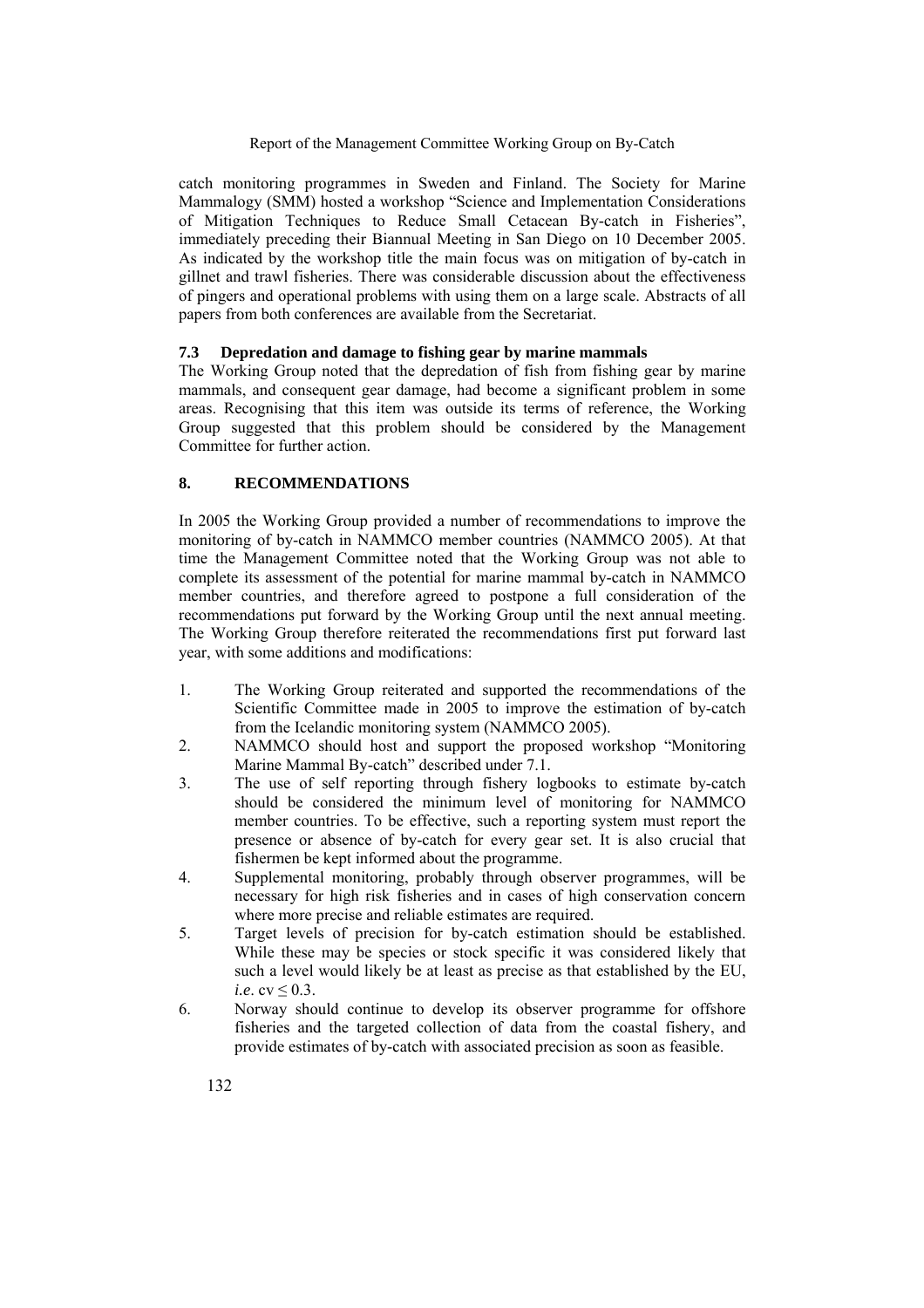catch monitoring programmes in Sweden and Finland. The Society for Marine Mammalogy (SMM) hosted a workshop "Science and Implementation Considerations of Mitigation Techniques to Reduce Small Cetacean By-catch in Fisheries", immediately preceding their Biannual Meeting in San Diego on 10 December 2005. As indicated by the workshop title the main focus was on mitigation of by-catch in gillnet and trawl fisheries. There was considerable discussion about the effectiveness of pingers and operational problems with using them on a large scale. Abstracts of all papers from both conferences are available from the Secretariat.

### **7.3 Depredation and damage to fishing gear by marine mammals**

The Working Group noted that the depredation of fish from fishing gear by marine mammals, and consequent gear damage, had become a significant problem in some areas. Recognising that this item was outside its terms of reference, the Working Group suggested that this problem should be considered by the Management Committee for further action.

### **8. RECOMMENDATIONS**

In 2005 the Working Group provided a number of recommendations to improve the monitoring of by-catch in NAMMCO member countries (NAMMCO 2005). At that time the Management Committee noted that the Working Group was not able to complete its assessment of the potential for marine mammal by-catch in NAMMCO member countries, and therefore agreed to postpone a full consideration of the recommendations put forward by the Working Group until the next annual meeting. The Working Group therefore reiterated the recommendations first put forward last year, with some additions and modifications:

- 1. The Working Group reiterated and supported the recommendations of the Scientific Committee made in 2005 to improve the estimation of by-catch from the Icelandic monitoring system (NAMMCO 2005).
- 2. NAMMCO should host and support the proposed workshop "Monitoring Marine Mammal By-catch" described under 7.1.
- 3. The use of self reporting through fishery logbooks to estimate by-catch should be considered the minimum level of monitoring for NAMMCO member countries. To be effective, such a reporting system must report the presence or absence of by-catch for every gear set. It is also crucial that fishermen be kept informed about the programme.
- 4. Supplemental monitoring, probably through observer programmes, will be necessary for high risk fisheries and in cases of high conservation concern where more precise and reliable estimates are required.
- 5. Target levels of precision for by-catch estimation should be established. While these may be species or stock specific it was considered likely that such a level would likely be at least as precise as that established by the EU, *i.e.* cv  $\leq 0.3$ .
- 6. Norway should continue to develop its observer programme for offshore fisheries and the targeted collection of data from the coastal fishery, and provide estimates of by-catch with associated precision as soon as feasible.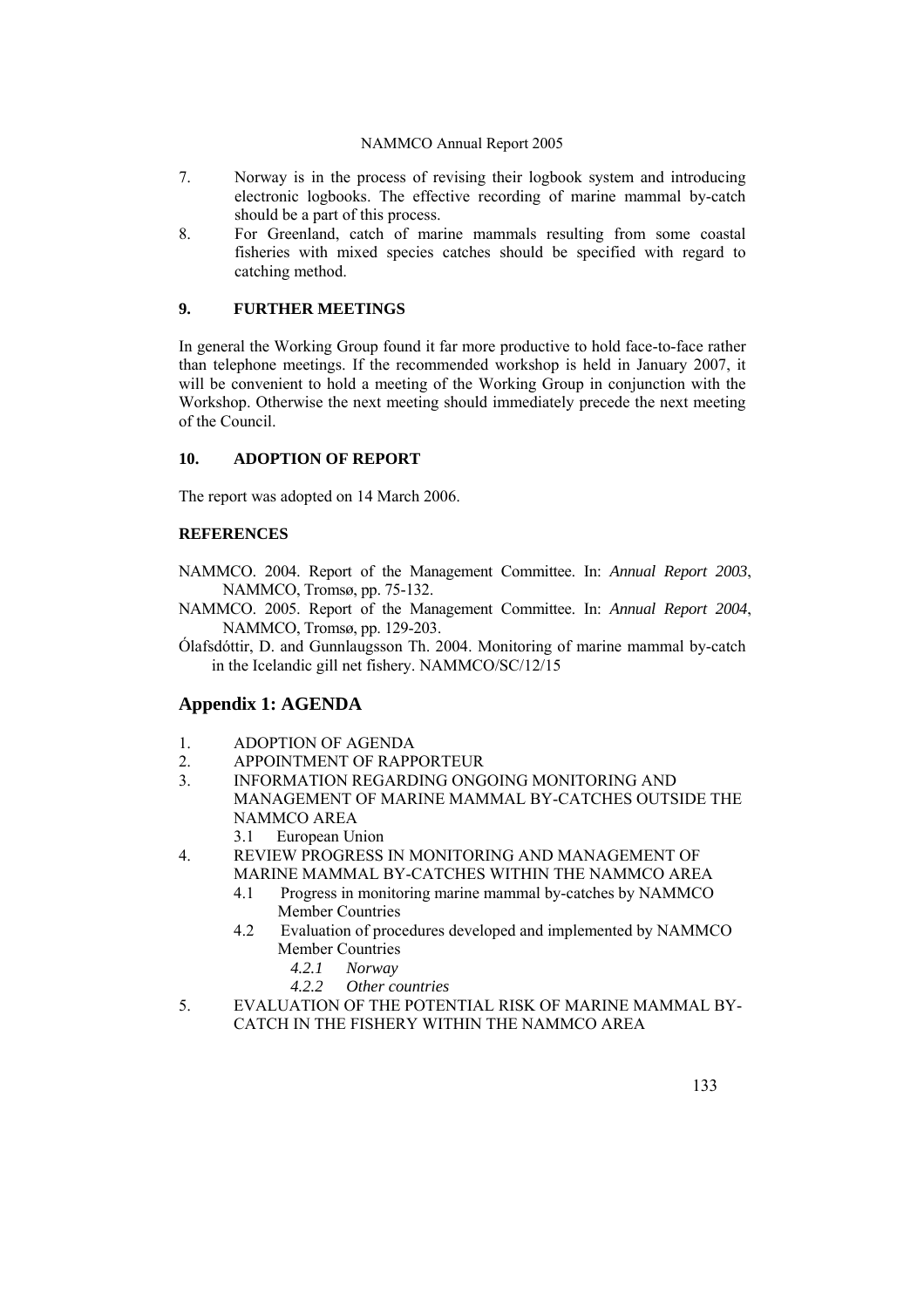- 7. Norway is in the process of revising their logbook system and introducing electronic logbooks. The effective recording of marine mammal by-catch should be a part of this process.
- 8. For Greenland, catch of marine mammals resulting from some coastal fisheries with mixed species catches should be specified with regard to catching method.

# **9. FURTHER MEETINGS**

In general the Working Group found it far more productive to hold face-to-face rather than telephone meetings. If the recommended workshop is held in January 2007, it will be convenient to hold a meeting of the Working Group in conjunction with the Workshop. Otherwise the next meeting should immediately precede the next meeting of the Council.

# **10. ADOPTION OF REPORT**

The report was adopted on 14 March 2006.

# **REFERENCES**

- NAMMCO. 2004. Report of the Management Committee. In: *Annual Report 2003*, NAMMCO, Tromsø, pp. 75-132.
- NAMMCO. 2005. Report of the Management Committee. In: *Annual Report 2004*, NAMMCO, Tromsø, pp. 129-203.
- Ólafsdóttir, D. and Gunnlaugsson Th. 2004. Monitoring of marine mammal by-catch in the Icelandic gill net fishery. NAMMCO/SC/12/15

# **Appendix 1: AGENDA**

- 1. ADOPTION OF AGENDA
- 2. APPOINTMENT OF RAPPORTEUR
- 3. INFORMATION REGARDING ONGOING MONITORING AND MANAGEMENT OF MARINE MAMMAL BY-CATCHES OUTSIDE THE NAMMCO AREA
	- 3.1 European Union
- 4. REVIEW PROGRESS IN MONITORING AND MANAGEMENT OF MARINE MAMMAL BY-CATCHES WITHIN THE NAMMCO AREA
	- 4.1 Progress in monitoring marine mammal by-catches by NAMMCO Member Countries
	- 4.2 Evaluation of procedures developed and implemented by NAMMCO Member Countries
		- *4.2.1 Norway*
		- *4.2.2 Other countries*
- 5. EVALUATION OF THE POTENTIAL RISK OF MARINE MAMMAL BY-CATCH IN THE FISHERY WITHIN THE NAMMCO AREA